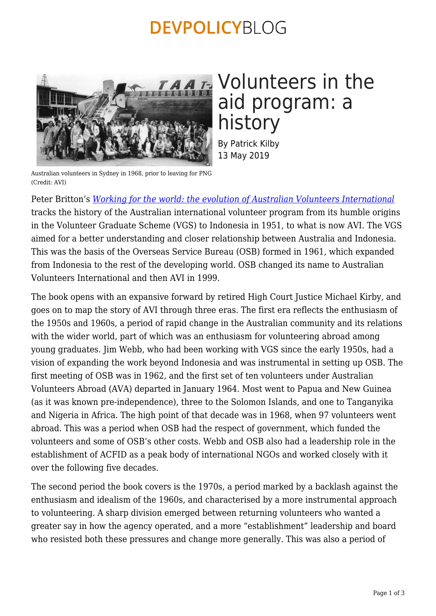### **DEVPOLICYBLOG**



# Volunteers in the aid program: a history

By Patrick Kilby 13 May 2019

Australian volunteers in Sydney in 1968, prior to leaving for PNG (Credit: AVI)

Peter Britton's *[Working for the world: the evolution of Australian Volunteers International](https://scholarly.info/book/working-for-the-world-the-evolution-of-australian-volunteers-international/)* tracks the history of the Australian international volunteer program from its humble origins in the Volunteer Graduate Scheme (VGS) to Indonesia in 1951, to what is now AVI. The VGS aimed for a better understanding and closer relationship between Australia and Indonesia. This was the basis of the Overseas Service Bureau (OSB) formed in 1961, which expanded from Indonesia to the rest of the developing world. OSB changed its name to Australian Volunteers International and then AVI in 1999.

The book opens with an expansive forward by retired High Court Justice Michael Kirby, and goes on to map the story of AVI through three eras. The first era reflects the enthusiasm of the 1950s and 1960s, a period of rapid change in the Australian community and its relations with the wider world, part of which was an enthusiasm for volunteering abroad among young graduates. Jim Webb, who had been working with VGS since the early 1950s, had a vision of expanding the work beyond Indonesia and was instrumental in setting up OSB. The first meeting of OSB was in 1962, and the first set of ten volunteers under Australian Volunteers Abroad (AVA) departed in January 1964. Most went to Papua and New Guinea (as it was known pre-independence), three to the Solomon Islands, and one to Tanganyika and Nigeria in Africa. The high point of that decade was in 1968, when 97 volunteers went abroad. This was a period when OSB had the respect of government, which funded the volunteers and some of OSB's other costs. Webb and OSB also had a leadership role in the establishment of ACFID as a peak body of international NGOs and worked closely with it over the following five decades.

The second period the book covers is the 1970s, a period marked by a backlash against the enthusiasm and idealism of the 1960s, and characterised by a more instrumental approach to volunteering. A sharp division emerged between returning volunteers who wanted a greater say in how the agency operated, and a more "establishment" leadership and board who resisted both these pressures and change more generally. This was also a period of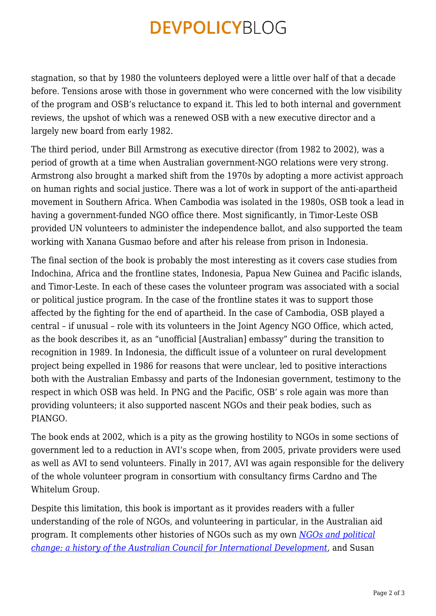### **DEVPOLICYBLOG**

stagnation, so that by 1980 the volunteers deployed were a little over half of that a decade before. Tensions arose with those in government who were concerned with the low visibility of the program and OSB's reluctance to expand it. This led to both internal and government reviews, the upshot of which was a renewed OSB with a new executive director and a largely new board from early 1982.

The third period, under Bill Armstrong as executive director (from 1982 to 2002), was a period of growth at a time when Australian government-NGO relations were very strong. Armstrong also brought a marked shift from the 1970s by adopting a more activist approach on human rights and social justice. There was a lot of work in support of the anti-apartheid movement in Southern Africa. When Cambodia was isolated in the 1980s, OSB took a lead in having a government-funded NGO office there. Most significantly, in Timor-Leste OSB provided UN volunteers to administer the independence ballot, and also supported the team working with Xanana Gusmao before and after his release from prison in Indonesia.

The final section of the book is probably the most interesting as it covers case studies from Indochina, Africa and the frontline states, Indonesia, Papua New Guinea and Pacific islands, and Timor-Leste. In each of these cases the volunteer program was associated with a social or political justice program. In the case of the frontline states it was to support those affected by the fighting for the end of apartheid. In the case of Cambodia, OSB played a central – if unusual – role with its volunteers in the Joint Agency NGO Office, which acted, as the book describes it, as an "unofficial [Australian] embassy" during the transition to recognition in 1989. In Indonesia, the difficult issue of a volunteer on rural development project being expelled in 1986 for reasons that were unclear, led to positive interactions both with the Australian Embassy and parts of the Indonesian government, testimony to the respect in which OSB was held. In PNG and the Pacific, OSB' s role again was more than providing volunteers; it also supported nascent NGOs and their peak bodies, such as PIANGO.

The book ends at 2002, which is a pity as the growing hostility to NGOs in some sections of government led to a reduction in AVI's scope when, from 2005, private providers were used as well as AVI to send volunteers. Finally in 2017, AVI was again responsible for the delivery of the whole volunteer program in consortium with consultancy firms Cardno and The Whitelum Group.

Despite this limitation, this book is important as it provides readers with a fuller understanding of the role of NGOs, and volunteering in particular, in the Australian aid program. It complements other histories of NGOs such as my own *[NGOs and political](https://press.anu.edu.au/publications/ngos-and-political-change) [change: a history of the Australian Council for International Development](https://press.anu.edu.au/publications/ngos-and-political-change)*, and Susan